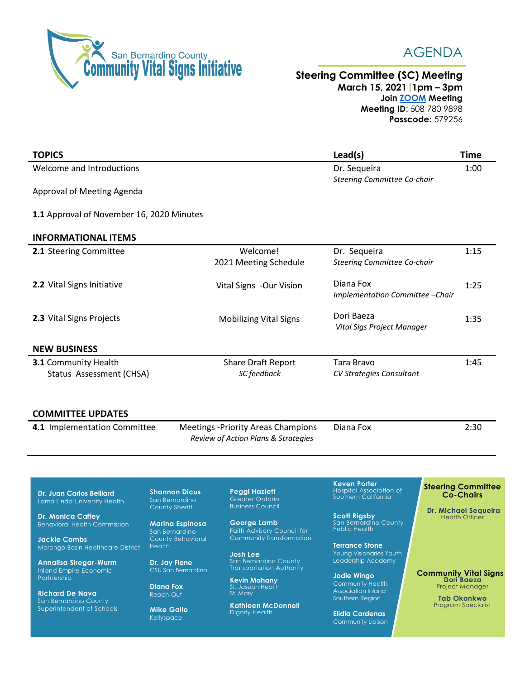



## **Steering Committee (SC) Meeting March 15, 2021 1pm – 3pm Join [ZOOM](https://zoom.us/j/5087809898?pwd=TVM1RmpETjgzeGsxK3NDRk8wQUR4Zz09) Meeting Meeting ID**: 508 780 9898 **Passcode:** 579256

| <b>TOPICS</b>                                    |                                                                                  | Lead(s)                                       | <b>Time</b> |
|--------------------------------------------------|----------------------------------------------------------------------------------|-----------------------------------------------|-------------|
| Welcome and Introductions                        |                                                                                  | Dr. Sequeira<br>Steering Committee Co-chair   | 1:00        |
| Approval of Meeting Agenda                       |                                                                                  |                                               |             |
| 1.1 Approval of November 16, 2020 Minutes        |                                                                                  |                                               |             |
| <b>INFORMATIONAL ITEMS</b>                       |                                                                                  |                                               |             |
| 2.1 Steering Committee                           | Welcome!<br>2021 Meeting Schedule                                                | Dr. Sequeira<br>Steering Committee Co-chair   | 1:15        |
| 2.2 Vital Signs Initiative                       | Vital Signs -Our Vision                                                          | Diana Fox<br>Implementation Committee - Chair | 1:25        |
| 2.3 Vital Signs Projects                         | <b>Mobilizing Vital Signs</b>                                                    | Dori Baeza<br>Vital Sigs Project Manager      | 1:35        |
| <b>NEW BUSINESS</b>                              |                                                                                  |                                               |             |
| 3.1 Community Health<br>Status Assessment (CHSA) | <b>Share Draft Report</b><br>SC feedback                                         | Tara Bravo<br>CV Strategies Consultant        | 1:45        |
| <b>COMMITTEE UPDATES</b>                         |                                                                                  |                                               |             |
| 4.1 Implementation Committee                     | <b>Meetings -Priority Areas Champions</b><br>Review of Action Plans & Strategies | Diana Fox                                     | 2:30        |

**Dr. Juan Carlos Belliard** Loma Linda University Health

**Dr. Monica Caffey** Behavioral Health Commission

**Jackie Combs** Morongo Basin Healthcare District

**Annalisa Siregar-Wurm** Inland Empire Economic Partnership

**Richard De Nava** San Bernardino County Superintendent of Schools **Shannon Dicus** San Bernardino County Sheriff

**Marina Espinosa** San Bernardino County Behavioral

**Health Dr. Jay Fiene** CSU San Bernardino

**Diana Fox** Reach-Out

**Mike Gallo** Kellyspace

**Peggi Hazlett** Greater Ontario Business Council

**STEERING COMMITTEE MEMBERS**

**George Lamb** Faith Advisory Council for Community Transformation

**Josh Lee** San Bernardino County Transportation Authority

**Kevin Mahany** St. Joseph Health St. Mary

**Kathleen McDonnell** Dignity Health

**Keven Porter** Hospital Association of Southern California

**Scott Rigsby** San Bernardino County Public Health

**Terrance Stone** Young Visionaries Youth Leadership Academy

**Jodie Wingo** Community Health Association Inland Southern Region

**Elidia Cardenas** Community Liaison

## **Steering Committee Co-Chairs**

**Dr. Michael Sequeira** Health Officer

**Community Vital Signs Dori Baeza** Project Manager

> **Tab Okonkwo** Program Specialist